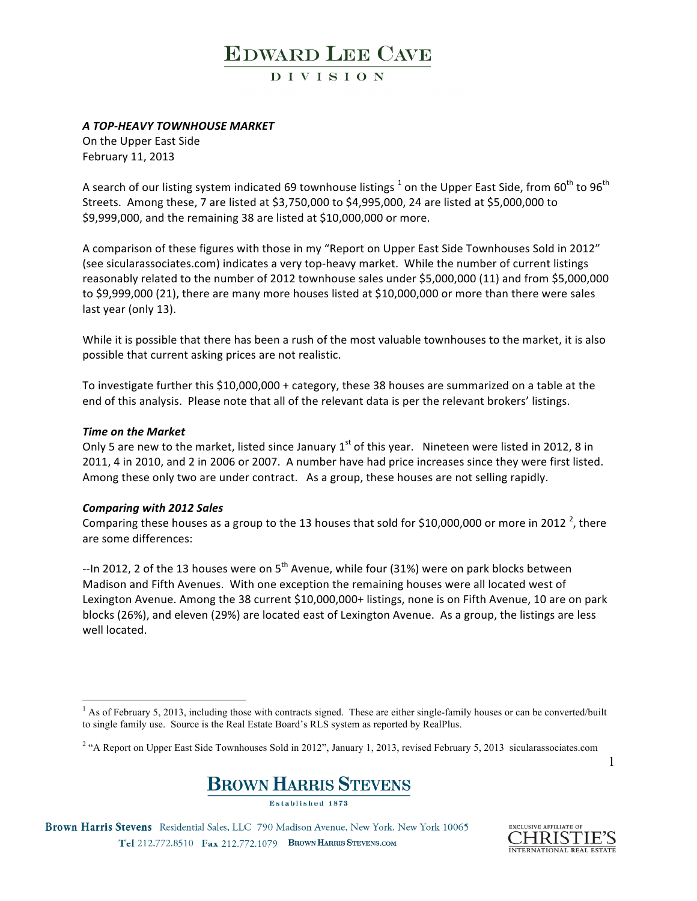DIVISION

### *A TOP-HEAVY TOWNHOUSE MARKET*

On the Upper East Side February 11, 2013

A search of our listing system indicated 69 townhouse listings  $^1$  on the Upper East Side, from 60<sup>th</sup> to 96<sup>th</sup> Streets. Among these, 7 are listed at \$3,750,000 to \$4,995,000, 24 are listed at \$5,000,000 to \$9,999,000, and the remaining 38 are listed at \$10,000,000 or more.

A comparison of these figures with those in my "Report on Upper East Side Townhouses Sold in 2012" (see sicularassociates.com) indicates a very top-heavy market. While the number of current listings reasonably related to the number of 2012 townhouse sales under \$5,000,000 (11) and from \$5,000,000 to \$9,999,000 (21), there are many more houses listed at \$10,000,000 or more than there were sales last year (only 13).

While it is possible that there has been a rush of the most valuable townhouses to the market, it is also possible that current asking prices are not realistic.

To investigate further this \$10,000,000 + category, these 38 houses are summarized on a table at the end of this analysis. Please note that all of the relevant data is per the relevant brokers' listings.

### *Time on the Market*

Only 5 are new to the market, listed since January  $1^{st}$  of this year. Nineteen were listed in 2012, 8 in 2011, 4 in 2010, and 2 in 2006 or 2007. A number have had price increases since they were first listed. Among these only two are under contract. As a group, these houses are not selling rapidly.

#### *Comparing with 2012 Sales*

Comparing these houses as a group to the 13 houses that sold for \$10,000,000 or more in 2012 <sup>2</sup>, there are some differences:

--In 2012, 2 of the 13 houses were on  $5<sup>th</sup>$  Avenue, while four (31%) were on park blocks between Madison and Fifth Avenues. With one exception the remaining houses were all located west of Lexington Avenue. Among the 38 current \$10,000,000+ listings, none is on Fifth Avenue, 10 are on park blocks (26%), and eleven (29%) are located east of Lexington Avenue. As a group, the listings are less well located.

<sup>&</sup>lt;sup>2</sup> "A Report on Upper East Side Townhouses Sold in 2012", January 1, 2013, revised February 5, 2013 sicularassociates.com



Brown Harris Stevens Residential Sales, LLC 790 Madison Avenue, New York, New York 10065 Tel 212.772.8510 Fax 212.772.1079 BROWN HARRIS STEVENS.COM



<sup>&</sup>lt;sup>1</sup> As of February 5, 2013, including those with contracts signed. These are either single-family houses or can be converted/built to single family use. Source is the Real Estate Board's RLS system as reported by RealPlus.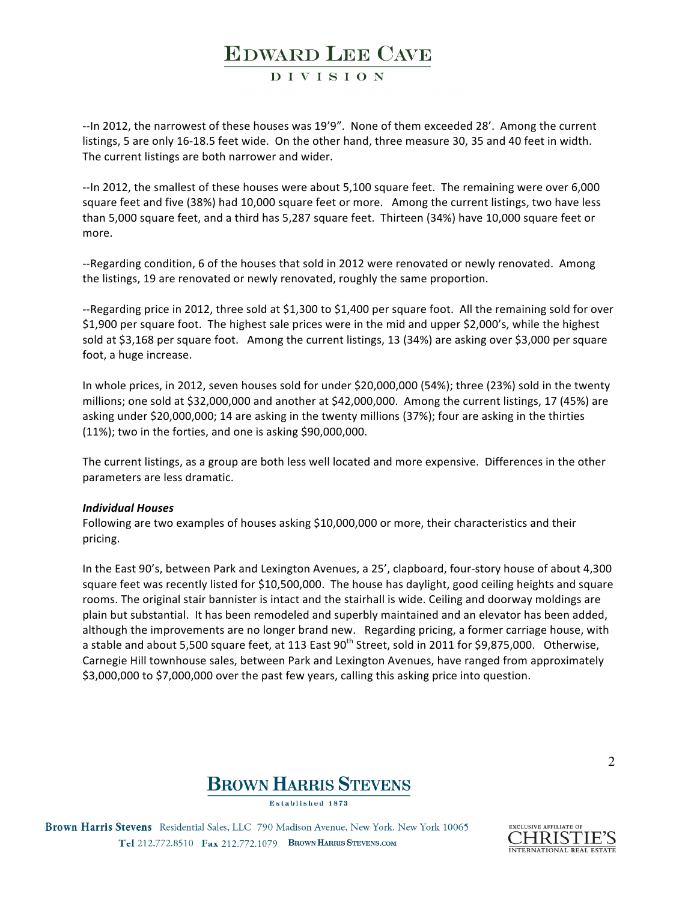### DIVISION

--In 2012, the narrowest of these houses was 19'9". None of them exceeded 28'. Among the current listings, 5 are only 16-18.5 feet wide. On the other hand, three measure 30, 35 and 40 feet in width. The current listings are both narrower and wider.

--In 2012, the smallest of these houses were about 5,100 square feet. The remaining were over 6,000 square feet and five (38%) had 10,000 square feet or more. Among the current listings, two have less than 5,000 square feet, and a third has 5,287 square feet. Thirteen (34%) have 10,000 square feet or more. 

--Regarding condition, 6 of the houses that sold in 2012 were renovated or newly renovated. Among the listings, 19 are renovated or newly renovated, roughly the same proportion.

--Regarding price in 2012, three sold at \$1,300 to \$1,400 per square foot. All the remaining sold for over \$1,900 per square foot. The highest sale prices were in the mid and upper \$2,000's, while the highest sold at \$3,168 per square foot. Among the current listings, 13 (34%) are asking over \$3,000 per square foot, a huge increase.

In whole prices, in 2012, seven houses sold for under \$20,000,000 (54%); three (23%) sold in the twenty millions; one sold at \$32,000,000 and another at \$42,000,000. Among the current listings, 17 (45%) are asking under \$20,000,000; 14 are asking in the twenty millions (37%); four are asking in the thirties  $(11%)$ ; two in the forties, and one is asking \$90,000,000.

The current listings, as a group are both less well located and more expensive. Differences in the other parameters are less dramatic.

#### *Individual Houses*

Following are two examples of houses asking \$10,000,000 or more, their characteristics and their pricing. 

In the East 90's, between Park and Lexington Avenues, a 25', clapboard, four-story house of about 4,300 square feet was recently listed for \$10,500,000. The house has daylight, good ceiling heights and square rooms. The original stair bannister is intact and the stairhall is wide. Ceiling and doorway moldings are plain but substantial. It has been remodeled and superbly maintained and an elevator has been added, although the improvements are no longer brand new. Regarding pricing, a former carriage house, with a stable and about 5,500 square feet, at 113 East  $90^{th}$  Street, sold in 2011 for \$9,875,000. Otherwise, Carnegie Hill townhouse sales, between Park and Lexington Avenues, have ranged from approximately \$3,000,000 to \$7,000,000 over the past few years, calling this asking price into question.



**Established 1873** 

Brown Harris Stevens Residential Sales, LLC 790 Madison Avenue, New York, New York 10065 Tel 212.772.8510 Fax 212.772.1079 BROWN HARRIS STEVENS.COM

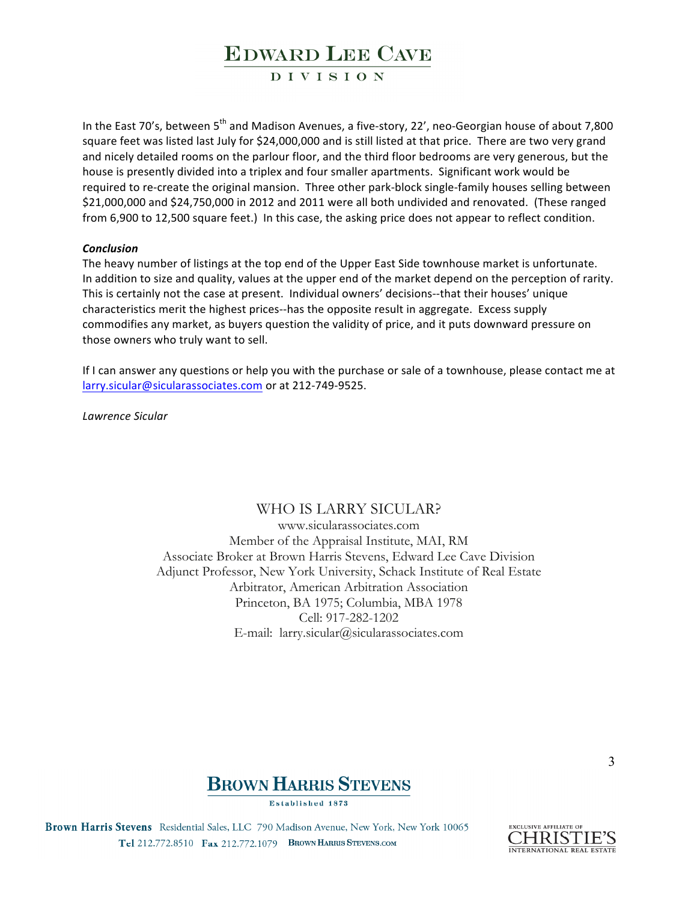### DIVISION

In the East 70's, between  $5<sup>th</sup>$  and Madison Avenues, a five-story, 22', neo-Georgian house of about 7,800 square feet was listed last July for \$24,000,000 and is still listed at that price. There are two very grand and nicely detailed rooms on the parlour floor, and the third floor bedrooms are very generous, but the house is presently divided into a triplex and four smaller apartments. Significant work would be required to re-create the original mansion. Three other park-block single-family houses selling between \$21,000,000 and \$24,750,000 in 2012 and 2011 were all both undivided and renovated. (These ranged from 6,900 to 12,500 square feet.) In this case, the asking price does not appear to reflect condition.

#### *Conclusion*

The heavy number of listings at the top end of the Upper East Side townhouse market is unfortunate. In addition to size and quality, values at the upper end of the market depend on the perception of rarity. This is certainly not the case at present. Individual owners' decisions--that their houses' unique characteristics merit the highest prices--has the opposite result in aggregate. Excess supply commodifies any market, as buyers question the validity of price, and it puts downward pressure on those owners who truly want to sell.

If I can answer any questions or help you with the purchase or sale of a townhouse, please contact me at larry.sicular@sicularassociates.com or at 212-749-9525.

*Lawrence Sicular* 

### WHO IS LARRY SICULAR?

www.sicularassociates.com Member of the Appraisal Institute, MAI, RM Associate Broker at Brown Harris Stevens, Edward Lee Cave Division Adjunct Professor, New York University, Schack Institute of Real Estate Arbitrator, American Arbitration Association Princeton, BA 1975; Columbia, MBA 1978 Cell: 917-282-1202 E-mail: larry.sicular@sicularassociates.com



Established 1873

Brown Harris Stevens Residential Sales, LLC 790 Madison Avenue, New York, New York 10065 Tel 212.772.8510 Fax 212.772.1079 BROWN HARRIS STEVENS.COM